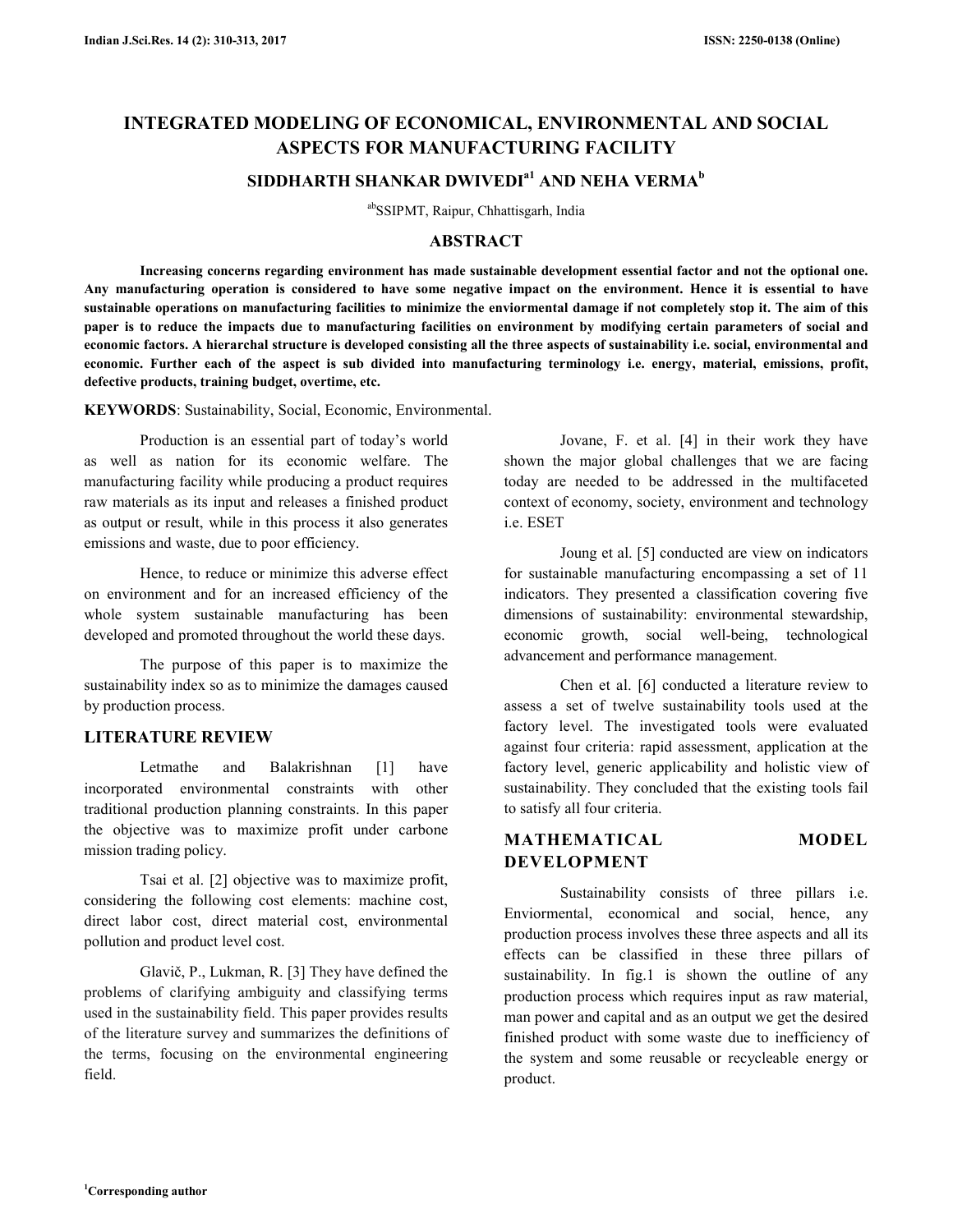# **INTEGRATED MODELING OF ECONOMICAL, ENVIRONMENTAL AND SOCIAL ASPECTS FOR MANUFACTURING FACILITY**

## **SIDDHARTH SHANKAR DWIVEDIa1 AND NEHA VERMA<sup>b</sup>**

abSSIPMT, Raipur, Chhattisgarh, India

## **ABSTRACT**

 **Increasing concerns regarding environment has made sustainable development essential factor and not the optional one. Any manufacturing operation is considered to have some negative impact on the environment. Hence it is essential to have sustainable operations on manufacturing facilities to minimize the enviormental damage if not completely stop it. The aim of this paper is to reduce the impacts due to manufacturing facilities on environment by modifying certain parameters of social and economic factors. A hierarchal structure is developed consisting all the three aspects of sustainability i.e. social, environmental and economic. Further each of the aspect is sub divided into manufacturing terminology i.e. energy, material, emissions, profit, defective products, training budget, overtime, etc.**

**KEYWORDS**: Sustainability, Social, Economic, Environmental.

 Production is an essential part of today's world as well as nation for its economic welfare. The manufacturing facility while producing a product requires raw materials as its input and releases a finished product as output or result, while in this process it also generates emissions and waste, due to poor efficiency.

 Hence, to reduce or minimize this adverse effect on environment and for an increased efficiency of the whole system sustainable manufacturing has been developed and promoted throughout the world these days.

 The purpose of this paper is to maximize the sustainability index so as to minimize the damages caused by production process.

### **LITERATURE REVIEW**

Letmathe and Balakrishnan [1] have incorporated environmental constraints with other traditional production planning constraints. In this paper the objective was to maximize profit under carbone mission trading policy.

 Tsai et al. [2] objective was to maximize profit, considering the following cost elements: machine cost, direct labor cost, direct material cost, environmental pollution and product level cost.

 Glavič, P., Lukman, R. [3] They have defined the problems of clarifying ambiguity and classifying terms used in the sustainability field. This paper provides results of the literature survey and summarizes the definitions of the terms, focusing on the environmental engineering field.

 Jovane, F. et al. [4] in their work they have shown the major global challenges that we are facing today are needed to be addressed in the multifaceted context of economy, society, environment and technology i.e. ESET

 Joung et al. [5] conducted are view on indicators for sustainable manufacturing encompassing a set of 11 indicators. They presented a classification covering five dimensions of sustainability: environmental stewardship, economic growth, social well-being, technological advancement and performance management.

 Chen et al. [6] conducted a literature review to assess a set of twelve sustainability tools used at the factory level. The investigated tools were evaluated against four criteria: rapid assessment, application at the factory level, generic applicability and holistic view of sustainability. They concluded that the existing tools fail to satisfy all four criteria.

## **MATHEMATICAL MODEL DEVELOPMENT**

 Sustainability consists of three pillars i.e. Enviormental, economical and social, hence, any production process involves these three aspects and all its effects can be classified in these three pillars of sustainability. In fig.1 is shown the outline of any production process which requires input as raw material, man power and capital and as an output we get the desired finished product with some waste due to inefficiency of the system and some reusable or recycleable energy or product.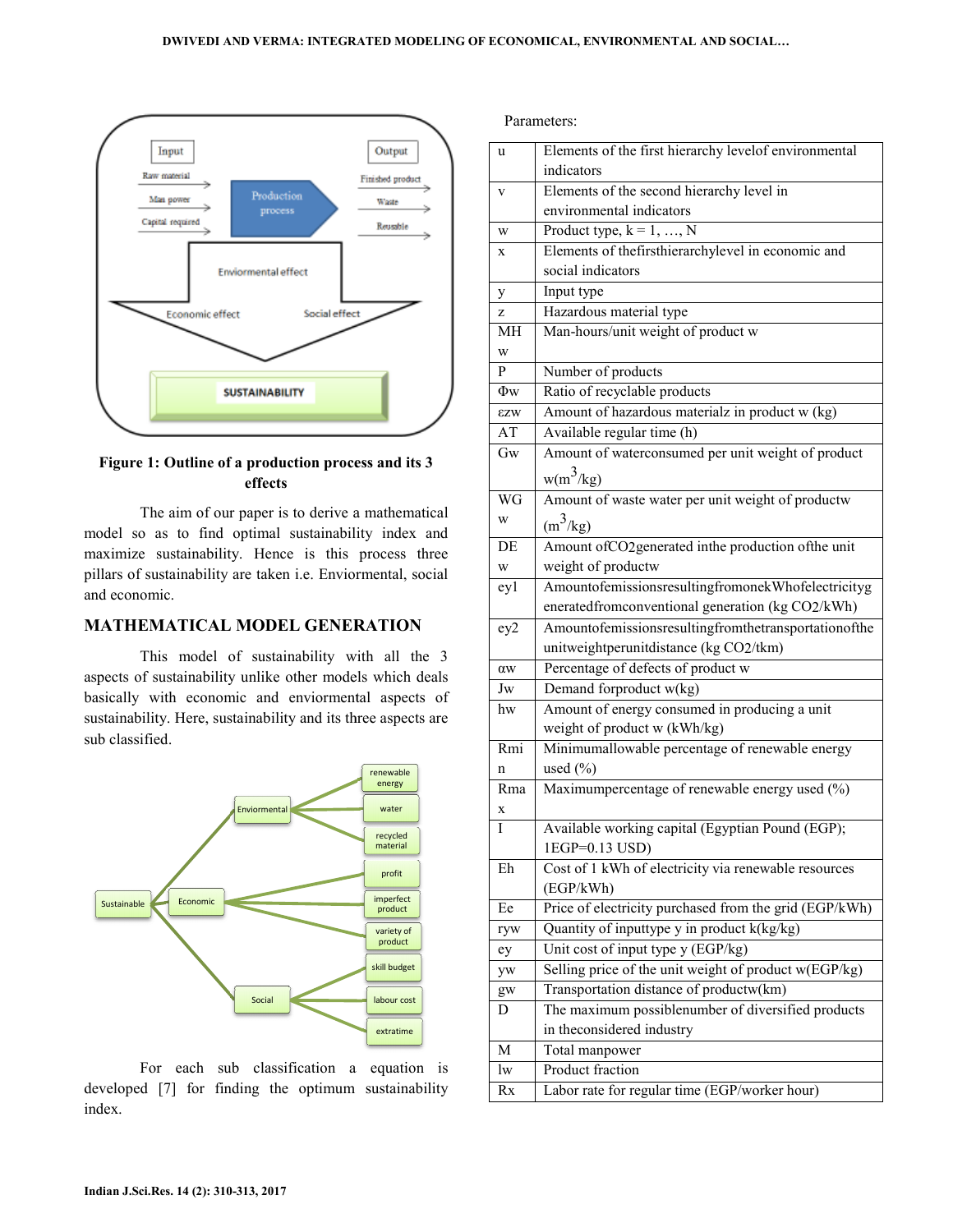

Figure 1: Outline of a production process and its 3 **effects** 

The aim of our paper is to derive a mathematical The aim of our paper is to derive a mathematical model so as to find optimal sustainability index and maximize sustainability. Hence is this process three pillars of sustainability are taken i.e. Enviormental, social and economic.

### **MATHEMATICAL MODEL GENERATION**

This model of sustainability with all the 3 This model of sustainability with all the 3 aspects of sustainability unlike other models which deals basically with economic and enviormental aspects of basically with economic and enviormental aspects of sustainability. Here, sustainability and its three aspects are sub classified.



 For each sub classification a equation is For each sub classification a equation is developed [7] for finding the optimum sustainability index.

Parameters:

| u          | Elements of the first hierarchy levelof environmental                           |
|------------|---------------------------------------------------------------------------------|
|            | indicators                                                                      |
| V          | Elements of the second hierarchy level in                                       |
|            | environmental indicators                                                        |
| W          | Product type, $k = 1, , N$                                                      |
| X          | Elements of thefirsthierarchylevel in economic and                              |
|            | social indicators                                                               |
| y          | Input type                                                                      |
| z          | Hazardous material type                                                         |
| MH         | Man-hours/unit weight of product w                                              |
| W          |                                                                                 |
| P          | Number of products                                                              |
| $\Phi$ w   | Ratio of recyclable products                                                    |
| <b>EZW</b> | Amount of hazardous materialz in product w (kg)                                 |
| AT         | Available regular time (h)                                                      |
| Gw         | Amount of waterconsumed per unit weight of product                              |
|            | $w(m^3/kg)$                                                                     |
| WG         | Amount of waste water per unit weight of productw                               |
| W          | $(m^3/kg)$                                                                      |
|            |                                                                                 |
| DE         | Amount ofCO2generated inthe production of the unit                              |
| W          | weight of productw                                                              |
| ey1        | AmountofemissionsresultingfromonekWhofelectricityg                              |
|            | eneratedfromconventional generation (kg CO2/kWh)                                |
| ey2        | Amountofemissionsresultingfromthetransportationofthe                            |
|            | unitweightperunitdistance (kg CO2/tkm)                                          |
| αw         | Percentage of defects of product w                                              |
| Jw         | Demand forproduct w(kg)                                                         |
| hw         | Amount of energy consumed in producing a unit                                   |
| Rmi        | weight of product w (kWh/kg)<br>Minimumallowable percentage of renewable energy |
|            |                                                                                 |
| n<br>Rma   | used $(\%)$<br>Maximumpercentage of renewable energy used (%)                   |
|            |                                                                                 |
| X<br>I     | Available working capital (Egyptian Pound (EGP);                                |
|            | 1EGP=0.13 USD)                                                                  |
| Eh         | Cost of 1 kWh of electricity via renewable resources                            |
|            | (EGP/kWh)                                                                       |
| Ee         | Price of electricity purchased from the grid (EGP/kWh)                          |
| ryw        | Quantity of inputtype y in product k(kg/kg)                                     |
| ey         | Unit cost of input type y (EGP/kg)                                              |
| yw         | Selling price of the unit weight of product w(EGP/kg)                           |
| gw         | Transportation distance of productw(km)                                         |
| D          | The maximum possiblenumber of diversified products                              |
|            | in the<br>considered industry                                                   |
| М          | Total manpower                                                                  |
| lw         | Product fraction                                                                |
| Rx         | Labor rate for regular time (EGP/worker hour)                                   |
|            |                                                                                 |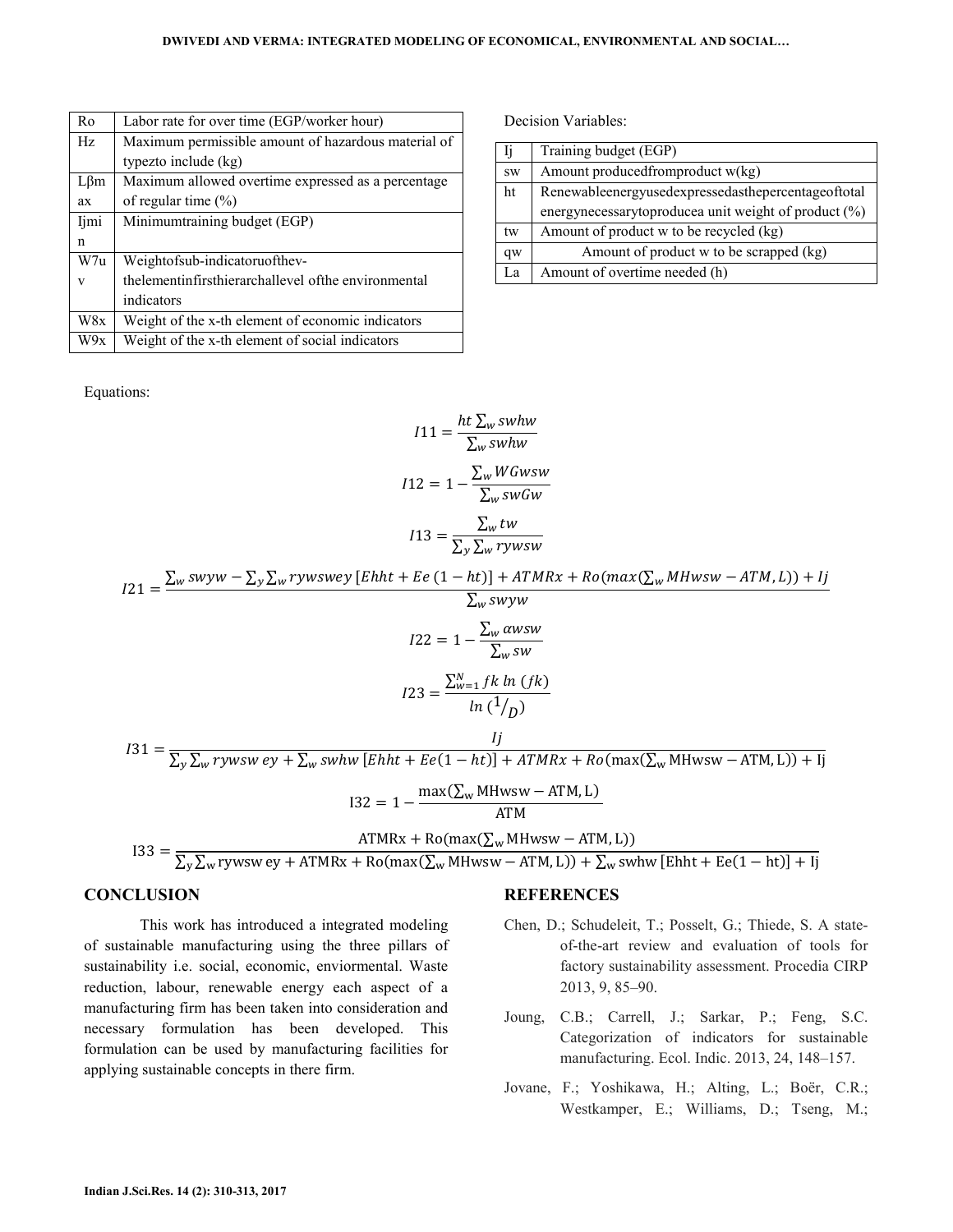| Ro         | Labor rate for over time (EGP/worker hour)              |
|------------|---------------------------------------------------------|
| Hz         | Maximum permissible amount of hazardous material of     |
|            | typezto include (kg)                                    |
| $L\beta m$ | Maximum allowed overtime expressed as a percentage      |
| ax         | of regular time $(\%)$                                  |
| Ijmi       | Minimumtraining budget (EGP)                            |
| n          |                                                         |
| W7u        | Weightofsub-indicatoruofthev-                           |
| V          | the lement infirst hierarchallevel of the environmental |
|            | indicators                                              |
| W8x        |                                                         |
|            | Weight of the x-th element of economic indicators       |

Equations:

Decision Variables:

| IJ           | Training budget (EGP)                                |
|--------------|------------------------------------------------------|
| <b>SW</b>    | Amount produced from product $w(kg)$                 |
| ht           | Renewableenergyusedexpressedasthepercentageoftotal   |
|              | energynecessarytoproducea unit weight of product (%) |
| tw           | Amount of product w to be recycled (kg)              |
| $\,$ qw $\,$ | Amount of product w to be scrapped (kg)              |
| La           | Amount of overtime needed (h)                        |

$$
I11 = \frac{ht \sum_{w} swhw}{\sum_{w} swhw}
$$

$$
I12 = 1 - \frac{\sum_{w} WGwsw}{\sum_{w} swGw}
$$

$$
I13 = \frac{\sum_{w} tw}{\sum_{y} \sum_{w} rywsw}
$$

 $I21 = \frac{\sum_{w} swyw - \sum_{y} \sum_{w} rywswey [Ehht + Ee(1 - ht)] + ATMRx + Ro(max(\sum_{w} MHwsw - ATM, L)) + Ij(x, L)}{E}$  $\Sigma_{\rm w}$  swyw  $122 = 1 - \frac{\sum_{w} \alpha wsw}{\sum_{w} wsw}$  $\Sigma_w$  sw  $I23 = \frac{\sum_{w=1}^{N} f k \ln (fk)}{1.54}$  $ln (1/p)$  $I31 = \frac{Ij}{\sum_{i=1}^{N} I_{i}}$  $\sum_{\rm y}\sum_{\rm w}$ rywsw ey +  $\sum_{\rm w}$ swhw [Ehht + Ee(1  $-$  ht)] + ATMRx + Ro(max( $\sum_{\rm w}$ MHwsw  $-$  ATM, L)) + Ij  $132 = 1 - \frac{\max(\sum_{w} \text{MHwsw} - \text{ATM}, \text{L})}{\sqrt{\text{TM}}}$ ATM  $133 =$  $ATMRx + Ro(max(\sum_{w} MHwsw - ATM, L))$  $\sum_{\rm y}\sum_{\rm w}$ rywsw ey + ATMRx + Ro(max( $\sum_{\rm w}$ MHwsw – ATM, L)) +  $\sum_{\rm w}$ swhw [Ehht + Ee(1 – ht)] + Ij

#### **CONCLUSION**

 This work has introduced a integrated modeling of sustainable manufacturing using the three pillars of sustainability i.e. social, economic, enviormental. Waste reduction, labour, renewable energy each aspect of a manufacturing firm has been taken into consideration and necessary formulation has been developed. This formulation can be used by manufacturing facilities for applying sustainable concepts in there firm.

#### **REFERENCES**

- Chen, D.; Schudeleit, T.; Posselt, G.; Thiede, S. A stateof-the-art review and evaluation of tools for factory sustainability assessment. Procedia CIRP 2013, 9, 85–90.
- Joung, C.B.; Carrell, J.; Sarkar, P.; Feng, S.C. Categorization of indicators for sustainable manufacturing. Ecol. Indic. 2013, 24, 148–157.
- Jovane, F.; Yoshikawa, H.; Alting, L.; Boër, C.R.; Westkamper, E.; Williams, D.; Tseng, M.;